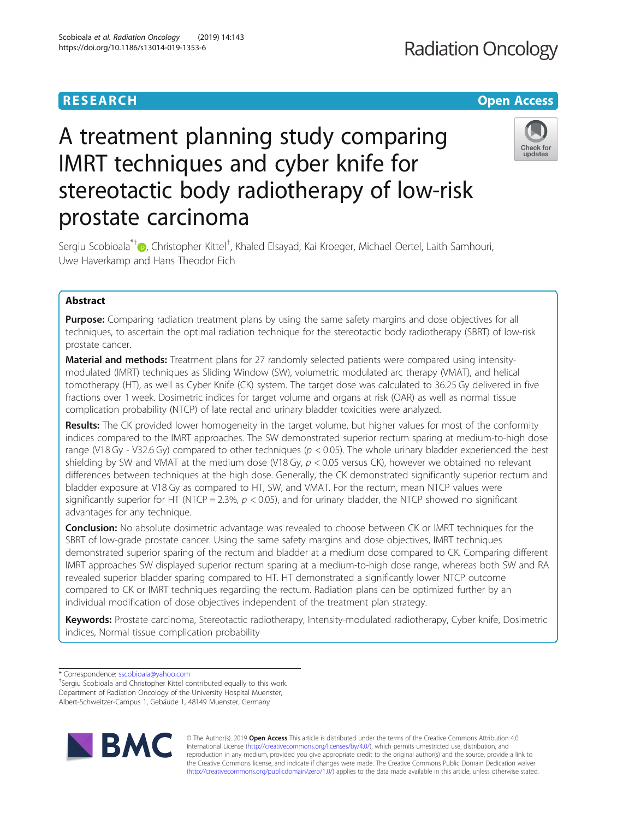# **RESEARCH CHE Open Access**

# A treatment planning study comparing IMRT techniques and cyber knife for stereotactic body radiotherapy of low-risk prostate carcinoma

Sergiu Scobioala<sup>\*†</sup>©, Christopher Kittel<sup>†</sup>, Khaled Elsayad, Kai Kroeger, Michael Oertel, Laith Samhouri, Uwe Haverkamp and Hans Theodor Eich

## Abstract

**Purpose:** Comparing radiation treatment plans by using the same safety margins and dose objectives for all techniques, to ascertain the optimal radiation technique for the stereotactic body radiotherapy (SBRT) of low-risk prostate cancer.

**Material and methods:** Treatment plans for 27 randomly selected patients were compared using intensitymodulated (IMRT) techniques as Sliding Window (SW), volumetric modulated arc therapy (VMAT), and helical tomotherapy (HT), as well as Cyber Knife (CK) system. The target dose was calculated to 36.25 Gy delivered in five fractions over 1 week. Dosimetric indices for target volume and organs at risk (OAR) as well as normal tissue complication probability (NTCP) of late rectal and urinary bladder toxicities were analyzed.

Results: The CK provided lower homogeneity in the target volume, but higher values for most of the conformity indices compared to the IMRT approaches. The SW demonstrated superior rectum sparing at medium-to-high dose range (V18 Gy - V32.6 Gy) compared to other techniques ( $p < 0.05$ ). The whole urinary bladder experienced the best shielding by SW and VMAT at the medium dose (V18 Gy,  $p < 0.05$  versus CK), however we obtained no relevant differences between techniques at the high dose. Generally, the CK demonstrated significantly superior rectum and bladder exposure at V18 Gy as compared to HT, SW, and VMAT. For the rectum, mean NTCP values were significantly superior for HT (NTCP = 2.3%,  $p < 0.05$ ), and for urinary bladder, the NTCP showed no significant advantages for any technique.

**Conclusion:** No absolute dosimetric advantage was revealed to choose between CK or IMRT techniques for the SBRT of low-grade prostate cancer. Using the same safety margins and dose objectives, IMRT techniques demonstrated superior sparing of the rectum and bladder at a medium dose compared to CK. Comparing different IMRT approaches SW displayed superior rectum sparing at a medium-to-high dose range, whereas both SW and RA revealed superior bladder sparing compared to HT. HT demonstrated a significantly lower NTCP outcome compared to CK or IMRT techniques regarding the rectum. Radiation plans can be optimized further by an individual modification of dose objectives independent of the treatment plan strategy.

Keywords: Prostate carcinoma, Stereotactic radiotherapy, Intensity-modulated radiotherapy, Cyber knife, Dosimetric indices, Normal tissue complication probability

\* Correspondence: [sscobioala@yahoo.com](mailto:sscobioala@yahoo.com) †

<sup>+</sup>Sergiu Scobioala and Christopher Kittel contributed equally to this work. Department of Radiation Oncology of the University Hospital Muenster, Albert-Schweitzer-Campus 1, Gebäude 1, 48149 Muenster, Germany

> © The Author(s). 2019 **Open Access** This article is distributed under the terms of the Creative Commons Attribution 4.0 International License [\(http://creativecommons.org/licenses/by/4.0/](http://creativecommons.org/licenses/by/4.0/)), which permits unrestricted use, distribution, and reproduction in any medium, provided you give appropriate credit to the original author(s) and the source, provide a link to the Creative Commons license, and indicate if changes were made. The Creative Commons Public Domain Dedication waiver [\(http://creativecommons.org/publicdomain/zero/1.0/](http://creativecommons.org/publicdomain/zero/1.0/)) applies to the data made available in this article, unless otherwise stated.



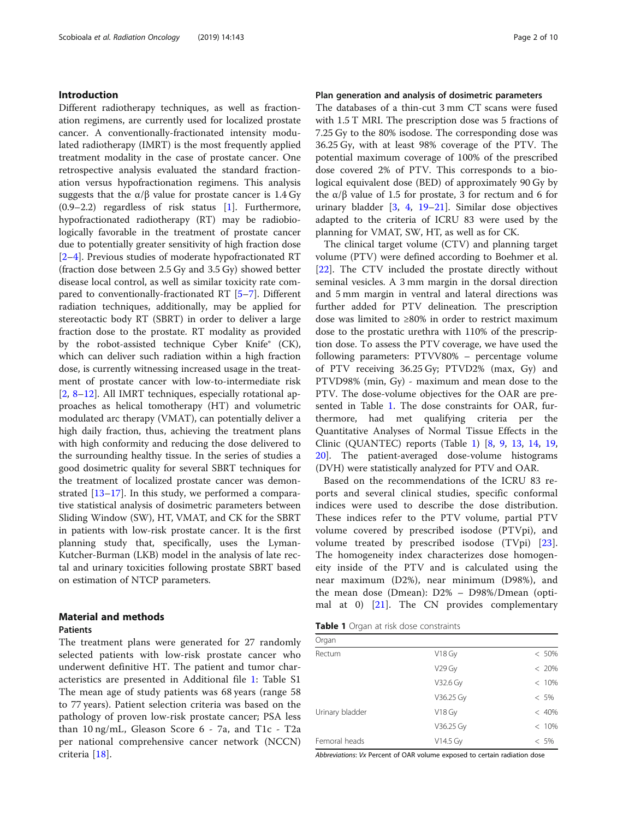#### Introduction

Different radiotherapy techniques, as well as fractionation regimens, are currently used for localized prostate cancer. A conventionally-fractionated intensity modulated radiotherapy (IMRT) is the most frequently applied treatment modality in the case of prostate cancer. One retrospective analysis evaluated the standard fractionation versus hypofractionation regimens. This analysis suggests that the  $\alpha/\beta$  value for prostate cancer is 1.4 Gy (0.9–2.2) regardless of risk status [[1\]](#page-8-0). Furthermore, hypofractionated radiotherapy (RT) may be radiobiologically favorable in the treatment of prostate cancer due to potentially greater sensitivity of high fraction dose [[2](#page-8-0)–[4\]](#page-8-0). Previous studies of moderate hypofractionated RT (fraction dose between 2.5 Gy and 3.5 Gy) showed better disease local control, as well as similar toxicity rate compared to conventionally-fractionated RT [\[5](#page-8-0)–[7](#page-8-0)]. Different radiation techniques, additionally, may be applied for stereotactic body RT (SBRT) in order to deliver a large fraction dose to the prostate. RT modality as provided by the robot-assisted technique Cyber Knife® (CK), which can deliver such radiation within a high fraction dose, is currently witnessing increased usage in the treatment of prostate cancer with low-to-intermediate risk [[2,](#page-8-0) [8](#page-8-0)–[12\]](#page-8-0). All IMRT techniques, especially rotational approaches as helical tomotherapy (HT) and volumetric modulated arc therapy (VMAT), can potentially deliver a high daily fraction, thus, achieving the treatment plans with high conformity and reducing the dose delivered to the surrounding healthy tissue. In the series of studies a good dosimetric quality for several SBRT techniques for the treatment of localized prostate cancer was demonstrated [\[13](#page-8-0)–[17\]](#page-8-0). In this study, we performed a comparative statistical analysis of dosimetric parameters between Sliding Window (SW), HT, VMAT, and CK for the SBRT in patients with low-risk prostate cancer. It is the first planning study that, specifically, uses the Lyman-Kutcher-Burman (LKB) model in the analysis of late rectal and urinary toxicities following prostate SBRT based on estimation of NTCP parameters.

# Material and methods

#### Patients

The treatment plans were generated for 27 randomly selected patients with low-risk prostate cancer who underwent definitive HT. The patient and tumor characteristics are presented in Additional file [1](#page-8-0): Table S1 The mean age of study patients was 68 years (range 58 to 77 years). Patient selection criteria was based on the pathology of proven low-risk prostate cancer; PSA less than 10 ng/mL, Gleason Score 6 - 7a, and T1c - T2a per national comprehensive cancer network (NCCN) criteria [\[18](#page-8-0)].

#### Plan generation and analysis of dosimetric parameters

The databases of a thin-cut 3 mm CT scans were fused with 1.5 T MRI. The prescription dose was 5 fractions of 7.25 Gy to the 80% isodose. The corresponding dose was 36.25 Gy, with at least 98% coverage of the PTV. The potential maximum coverage of 100% of the prescribed dose covered 2% of PTV. This corresponds to a biological equivalent dose (BED) of approximately 90 Gy by the  $α/β$  value of 1.5 for prostate, 3 for rectum and 6 for urinary bladder [[3,](#page-8-0) [4](#page-8-0), [19](#page-8-0)–[21](#page-8-0)]. Similar dose objectives adapted to the criteria of ICRU 83 were used by the planning for VMAT, SW, HT, as well as for CK.

The clinical target volume (CTV) and planning target volume (PTV) were defined according to Boehmer et al. [[22\]](#page-8-0). The CTV included the prostate directly without seminal vesicles. A 3 mm margin in the dorsal direction and 5 mm margin in ventral and lateral directions was further added for PTV delineation. The prescription dose was limited to ≥80% in order to restrict maximum dose to the prostatic urethra with 110% of the prescription dose. To assess the PTV coverage, we have used the following parameters: PTVV80% – percentage volume of PTV receiving 36.25 Gy; PTVD2% (max, Gy) and PTVD98% (min, Gy) - maximum and mean dose to the PTV. The dose-volume objectives for the OAR are presented in Table 1. The dose constraints for OAR, furthermore, had met qualifying criteria per the Quantitative Analyses of Normal Tissue Effects in the Clinic (QUANTEC) reports (Table 1) [[8,](#page-8-0) [9](#page-8-0), [13,](#page-8-0) [14](#page-8-0), [19](#page-8-0), [20\]](#page-8-0). The patient-averaged dose-volume histograms (DVH) were statistically analyzed for PTV and OAR.

Based on the recommendations of the ICRU 83 reports and several clinical studies, specific conformal indices were used to describe the dose distribution. These indices refer to the PTV volume, partial PTV volume covered by prescribed isodose (PTVpi), and volume treated by prescribed isodose (TVpi) [\[23](#page-9-0)]. The homogeneity index characterizes dose homogeneity inside of the PTV and is calculated using the near maximum (D2%), near minimum (D98%), and the mean dose (Dmean): D2% – D98%/Dmean (optimal at 0)  $[21]$  $[21]$ . The CN provides complementary

Table 1 Organ at risk dose constraints

| Organ           |                    |          |
|-----------------|--------------------|----------|
| Rectum          | V18 Gy             | $< 50\%$ |
|                 | V <sub>29</sub> Gy | $< 20\%$ |
|                 | V32.6 Gy           | < 10%    |
|                 | V36.25 Gy          | $< 5\%$  |
| Urinary bladder | V18 Gy             | < 40%    |
|                 | V36.25 Gy          | < 10%    |
| Femoral heads   | V14.5 Gy           | $< 5\%$  |

Abbreviations: Vx Percent of OAR volume exposed to certain radiation dose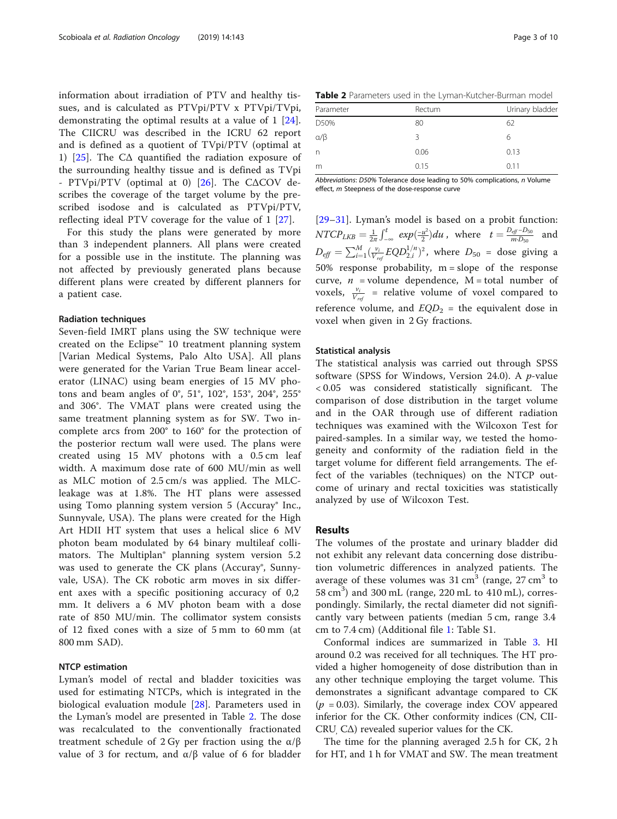<span id="page-2-0"></span>information about irradiation of PTV and healthy tissues, and is calculated as PTVpi/PTV x PTVpi/TVpi, demonstrating the optimal results at a value of 1 [\[24](#page-9-0)]. The CIICRU was described in the ICRU 62 report and is defined as a quotient of TVpi/PTV (optimal at 1) [[25](#page-9-0)]. The  $CA$  quantified the radiation exposure of the surrounding healthy tissue and is defined as TVpi - PTVpi/PTV (optimal at 0)  $[26]$  $[26]$ . The C $\triangle$ COV describes the coverage of the target volume by the prescribed isodose and is calculated as PTVpi/PTV, reflecting ideal PTV coverage for the value of 1 [[27\]](#page-9-0).

For this study the plans were generated by more than 3 independent planners. All plans were created for a possible use in the institute. The planning was not affected by previously generated plans because different plans were created by different planners for a patient case.

#### Radiation techniques

Seven-field IMRT plans using the SW technique were created on the Eclipse™ 10 treatment planning system [Varian Medical Systems, Palo Alto USA]. All plans were generated for the Varian True Beam linear accelerator (LINAC) using beam energies of 15 MV photons and beam angles of 0°, 51°, 102°, 153°, 204°, 255° and 306°. The VMAT plans were created using the same treatment planning system as for SW. Two incomplete arcs from 200° to 160° for the protection of the posterior rectum wall were used. The plans were created using 15 MV photons with a 0.5 cm leaf width. A maximum dose rate of 600 MU/min as well as MLC motion of 2.5 cm/s was applied. The MLCleakage was at 1.8%. The HT plans were assessed using Tomo planning system version 5 (Accuray<sup>®</sup> Inc., Sunnyvale, USA). The plans were created for the High Art HDII HT system that uses a helical slice 6 MV photon beam modulated by 64 binary multileaf collimators. The Multiplan® planning system version 5.2 was used to generate the CK plans (Accuray®, Sunnyvale, USA). The CK robotic arm moves in six different axes with a specific positioning accuracy of 0,2 mm. It delivers a 6 MV photon beam with a dose rate of 850 MU/min. The collimator system consists of 12 fixed cones with a size of 5 mm to 60 mm (at 800 mm SAD).

#### NTCP estimation

Lyman's model of rectal and bladder toxicities was used for estimating NTCPs, which is integrated in the biological evaluation module [[28\]](#page-9-0). Parameters used in the Lyman's model are presented in Table 2. The dose was recalculated to the conventionally fractionated treatment schedule of 2 Gy per fraction using the  $\alpha/\beta$ value of 3 for rectum, and α/β value of 6 for bladder

Table 2 Parameters used in the Lyman-Kutcher-Burman model

| Parameter      | Rectum | Urinary bladder |
|----------------|--------|-----------------|
| D50%           | 80     | 62              |
| $\alpha/\beta$ | 3      | 6               |
| n              | 0.06   | 0.13            |
| m              | 0.15   | 0.11            |

Abbreviations: D50% Tolerance dose leading to 50% complications, n Volume effect, m Steepness of the dose-response curve

[[29](#page-9-0)–[31\]](#page-9-0). Lyman's model is based on a probit function:  $NTCP_{LKB} = \frac{1}{2\pi}\int_{-\infty}^{t} exp(\frac{-u^2}{2}) du$ , where  $t = \frac{D_{eff}-D_{50}}{m \cdot D_{50}}$  and  $D_{\text{eff}} = \sum_{i=1}^{M} (\frac{v_i}{V_{\text{ref}}}EQD_{2,i}^{1/n})^2$ , where  $D_{50}$  = dose giving a 50% response probability,  $m = slope$  of the response curve,  $n =$ volume dependence, M = total number of voxels,  $\frac{v_i}{V_{ref}}$  = relative volume of voxel compared to reference volume, and  $EQD_2$  = the equivalent dose in voxel when given in 2 Gy fractions.

#### Statistical analysis

The statistical analysis was carried out through SPSS software (SPSS for Windows, Version 24.0). A  $p$ -value < 0.05 was considered statistically significant. The comparison of dose distribution in the target volume and in the OAR through use of different radiation techniques was examined with the Wilcoxon Test for paired-samples. In a similar way, we tested the homogeneity and conformity of the radiation field in the target volume for different field arrangements. The effect of the variables (techniques) on the NTCP outcome of urinary and rectal toxicities was statistically analyzed by use of Wilcoxon Test.

#### Results

The volumes of the prostate and urinary bladder did not exhibit any relevant data concerning dose distribution volumetric differences in analyzed patients. The average of these volumes was  $31 \text{ cm}^3$  (range,  $27 \text{ cm}^3$  to 58 cm<sup>3</sup>) and 300 mL (range, 220 mL to 410 mL), correspondingly. Similarly, the rectal diameter did not significantly vary between patients (median 5 cm, range 3.4 cm to 7.4 cm) (Additional file [1:](#page-8-0) Table S1.

Conformal indices are summarized in Table [3](#page-3-0). HI around 0.2 was received for all techniques. The HT provided a higher homogeneity of dose distribution than in any other technique employing the target volume. This demonstrates a significant advantage compared to CK  $(p = 0.03)$ . Similarly, the coverage index COV appeared inferior for the CK. Other conformity indices (CN, CII-CRU, CΔ) revealed superior values for the CK.

The time for the planning averaged 2.5 h for CK, 2 h for HT, and 1 h for VMAT and SW. The mean treatment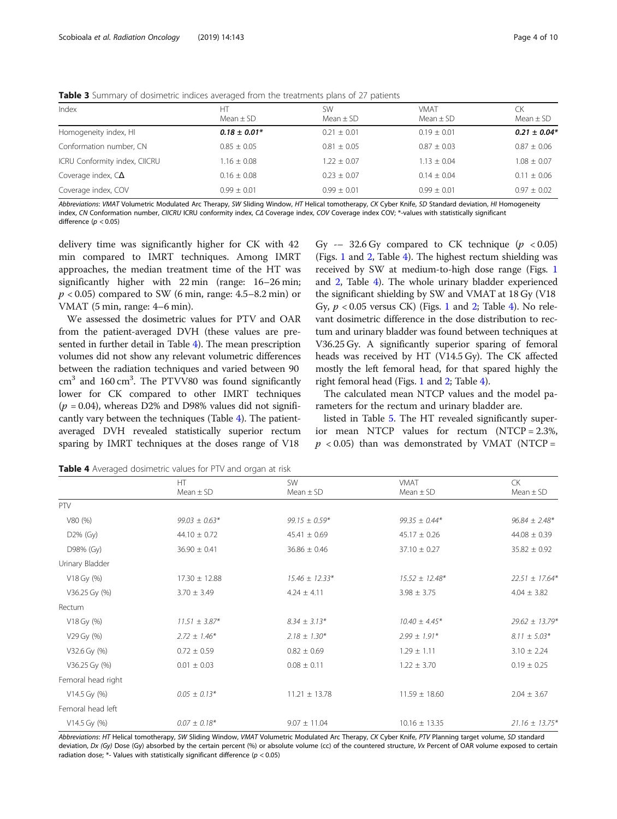| Index                         | HT<br>Mean $\pm$ SD | <b>SW</b><br>Mean $\pm$ SD | <b>VMAT</b><br>Mean $\pm$ SD | CK<br>Mean $\pm$ SD |
|-------------------------------|---------------------|----------------------------|------------------------------|---------------------|
| Homogeneity index, HI         | $0.18 \pm 0.01*$    | $0.21 \pm 0.01$            | $0.19 \pm 0.01$              | $0.21 \pm 0.04*$    |
| Conformation number, CN       | $0.85 + 0.05$       | $0.81 \pm 0.05$            | $0.87 + 0.03$                | $0.87 \pm 0.06$     |
| ICRU Conformity index, CIICRU | $.16 \pm 0.08$      | $1.22 \pm 0.07$            | $1.13 \pm 0.04$              | $1.08 \pm 0.07$     |
| Coverage index, $C\Delta$     | $0.16 + 0.08$       | $0.23 + 0.07$              | $0.14 + 0.04$                | $0.11 \pm 0.06$     |
| Coverage index, COV           | $0.99 \pm 0.01$     | $0.99 \pm 0.01$            | $0.99 \pm 0.01$              | $0.97 \pm 0.02$     |

<span id="page-3-0"></span>Table 3 Summary of dosimetric indices averaged from the treatments plans of 27 patients

Abbreviations: VMAT Volumetric Modulated Arc Therapy, SW Sliding Window, HT Helical tomotherapy, CK Cyber Knife, SD Standard deviation, HI Homogeneity index, CN Conformation number, CIICRU ICRU conformity index, CΔ Coverage index, COV Coverage index COV; \*-values with statistically significant difference ( $p < 0.05$ )

delivery time was significantly higher for CK with 42 min compared to IMRT techniques. Among IMRT approaches, the median treatment time of the HT was significantly higher with 22 min (range: 16–26 min;  $p < 0.05$ ) compared to SW (6 min, range: 4.5–8.2 min) or VMAT (5 min, range: 4–6 min).

We assessed the dosimetric values for PTV and OAR from the patient-averaged DVH (these values are presented in further detail in Table 4). The mean prescription volumes did not show any relevant volumetric differences between the radiation techniques and varied between 90  $\text{cm}^3$  and 160  $\text{cm}^3$ . The PTVV80 was found significantly lower for CK compared to other IMRT techniques  $(p = 0.04)$ , whereas D2% and D98% values did not significantly vary between the techniques (Table 4). The patientaveraged DVH revealed statistically superior rectum sparing by IMRT techniques at the doses range of V18

Gy  $-$  32.6 Gy compared to CK technique ( $p < 0.05$ ) (Figs. [1](#page-4-0) and [2](#page-4-0), Table 4). The highest rectum shielding was received by SW at medium-to-high dose range (Figs. [1](#page-4-0) and [2,](#page-2-0) Table 4). The whole urinary bladder experienced the significant shielding by SW and VMAT at 18 Gy (V18 Gy,  $p < 0.05$  versus CK) (Figs. [1](#page-4-0) and [2;](#page-4-0) Table 4). No relevant dosimetric difference in the dose distribution to rectum and urinary bladder was found between techniques at V36.25 Gy. A significantly superior sparing of femoral heads was received by HT (V14.5 Gy). The CK affected mostly the left femoral head, for that spared highly the right femoral head (Figs. [1](#page-4-0) and [2](#page-4-0); Table 4).

The calculated mean NTCP values and the model parameters for the rectum and urinary bladder are.

listed in Table [5](#page-5-0). The HT revealed significantly superior mean NTCP values for rectum (NTCP = 2.3%,  $p < 0.05$ ) than was demonstrated by VMAT (NTCP =

Table 4 Averaged dosimetric values for PTV and organ at risk

|                    | HT.               | <b>SW</b>          | VMAT               | <b>CK</b><br>$Mean \pm SD$ |
|--------------------|-------------------|--------------------|--------------------|----------------------------|
|                    | $Mean \pm SD$     | $Mean \pm SD$      | $Mean \pm SD$      |                            |
| PTV                |                   |                    |                    |                            |
| V80 (%)            | $99.03 \pm 0.63*$ | $99.15 \pm 0.59*$  | $99.35 \pm 0.44*$  | $96.84 \pm 2.48*$          |
| $D2\%$ (Gy)        | $44.10 \pm 0.72$  | $45.41 \pm 0.69$   | $45.17 \pm 0.26$   | $44.08 \pm 0.39$           |
| D98% (Gy)          | $36.90 \pm 0.41$  | $36.86 \pm 0.46$   | $37.10 \pm 0.27$   | $35.82 \pm 0.92$           |
| Urinary Bladder    |                   |                    |                    |                            |
| V18 Gy (%)         | $17.30 \pm 12.88$ | $15.46 \pm 12.33*$ | $15.52 \pm 12.48*$ | $22.51 \pm 17.64*$         |
| V36.25 Gy (%)      | $3.70 \pm 3.49$   | $4.24 \pm 4.11$    | $3.98 \pm 3.75$    | $4.04 \pm 3.82$            |
| Rectum             |                   |                    |                    |                            |
| V18 Gy (%)         | $11.51 \pm 3.87*$ | $8.34 \pm 3.13*$   | $10.40 \pm 4.45*$  | $29.62 \pm 13.79*$         |
| V29 Gy (%)         | $2.72 \pm 1.46*$  | $2.18 \pm 1.30*$   | $2.99 \pm 1.91*$   | $8.11 \pm 5.03*$           |
| V32.6 Gy (%)       | $0.72 \pm 0.59$   | $0.82 \pm 0.69$    | $1.29 \pm 1.11$    | $3.10 \pm 2.24$            |
| V36.25 Gy (%)      | $0.01 \pm 0.03$   | $0.08 \pm 0.11$    | $1.22 \pm 3.70$    | $0.19 \pm 0.25$            |
| Femoral head right |                   |                    |                    |                            |
| $V14.5$ Gy $(\%)$  | $0.05 \pm 0.13*$  | $11.21 \pm 13.78$  | $11.59 \pm 18.60$  | $2.04 \pm 3.67$            |
| Femoral head left  |                   |                    |                    |                            |
| $V14.5$ Gy $(\%)$  | $0.07 \pm 0.18*$  | $9.07 \pm 11.04$   | $10.16 \pm 13.35$  | $21.16 \pm 13.75*$         |

Abbreviations: HT Helical tomotherapy, SW Sliding Window, VMAT Volumetric Modulated Arc Therapy, CK Cyber Knife, PTV Planning target volume, SD standard deviation, Dx (Gy) Dose (Gy) absorbed by the certain percent (%) or absolute volume (cc) of the countered structure, Vx Percent of OAR volume exposed to certain radiation dose;  $*$ - Values with statistically significant difference ( $p < 0.05$ )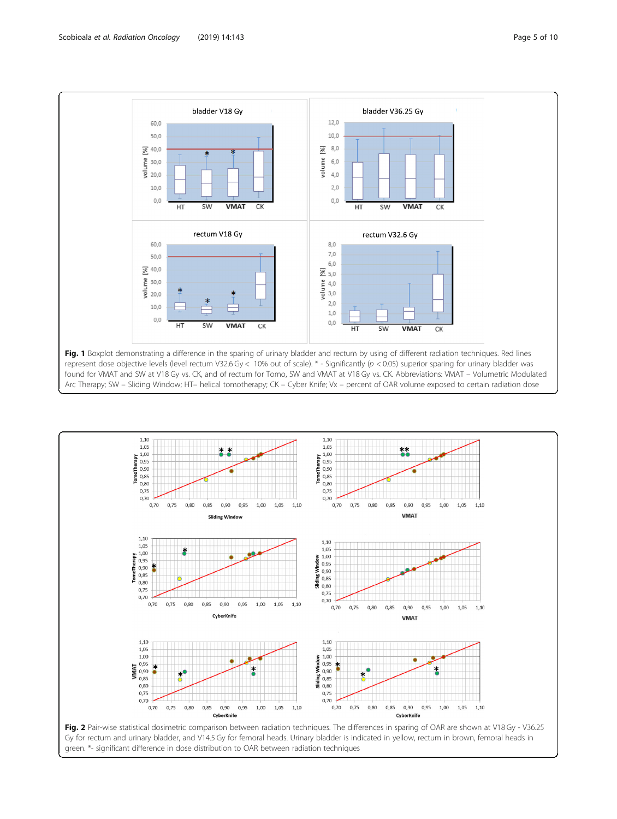<span id="page-4-0"></span>



green. \*- significant difference in dose distribution to OAR between radiation techniques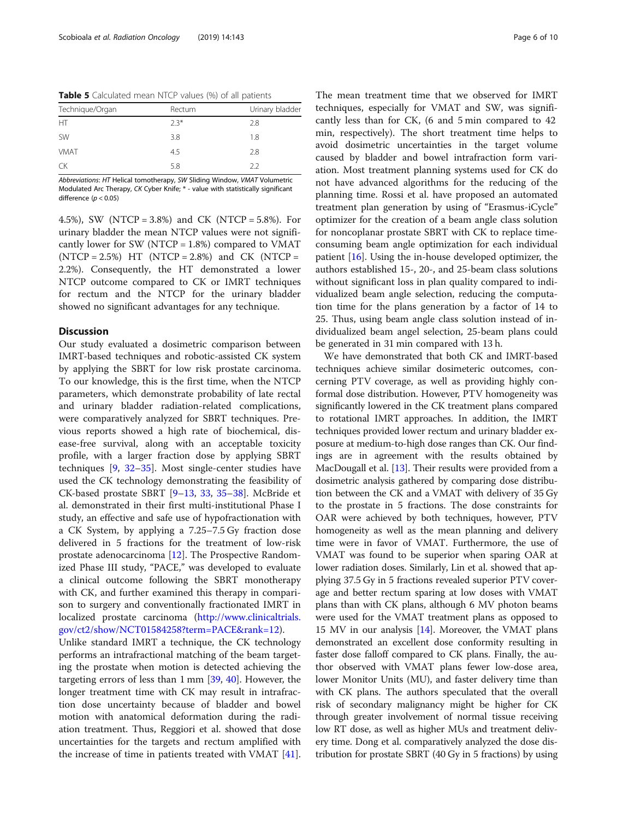<span id="page-5-0"></span>

| Technique/Organ | Rectum | Urinary bladder |
|-----------------|--------|-----------------|
| HT              | $2.3*$ | 2.8             |
| <b>SW</b>       | 3.8    | 1.8             |
| <b>VMAT</b>     | 4.5    | 2.8             |
| CK              | 5.8    | 22              |

Abbreviations: HT Helical tomotherapy, SW Sliding Window, VMAT Volumetric Modulated Arc Therapy, CK Cyber Knife; \* - value with statistically significant difference ( $p < 0.05$ )

4.5%), SW (NTCP = 3.8%) and CK (NTCP = 5.8%). For urinary bladder the mean NTCP values were not significantly lower for SW (NTCP  $= 1.8\%$ ) compared to VMAT  $(NTCP = 2.5%) HT (NTCP = 2.8%) and CK (NTCP =$ 2.2%). Consequently, the HT demonstrated a lower NTCP outcome compared to CK or IMRT techniques for rectum and the NTCP for the urinary bladder showed no significant advantages for any technique.

#### **Discussion**

Our study evaluated a dosimetric comparison between IMRT-based techniques and robotic-assisted CK system by applying the SBRT for low risk prostate carcinoma. To our knowledge, this is the first time, when the NTCP parameters, which demonstrate probability of late rectal and urinary bladder radiation-related complications, were comparatively analyzed for SBRT techniques. Previous reports showed a high rate of biochemical, disease-free survival, along with an acceptable toxicity profile, with a larger fraction dose by applying SBRT techniques [[9,](#page-8-0) [32](#page-9-0)–[35\]](#page-9-0). Most single-center studies have used the CK technology demonstrating the feasibility of CK-based prostate SBRT [[9](#page-8-0)–[13](#page-8-0), [33](#page-9-0), [35](#page-9-0)–[38\]](#page-9-0). McBride et al. demonstrated in their first multi-institutional Phase I study, an effective and safe use of hypofractionation with a CK System, by applying a 7.25–7.5 Gy fraction dose delivered in 5 fractions for the treatment of low-risk prostate adenocarcinoma [[12\]](#page-8-0). The Prospective Randomized Phase III study, "PACE," was developed to evaluate a clinical outcome following the SBRT monotherapy with CK, and further examined this therapy in comparison to surgery and conventionally fractionated IMRT in localized prostate carcinoma ([http://www.clinicaltrials.](http://www.clinicaltrials.gov/ct2/show/NCT01584258?term=PACE&rank=12) [gov/ct2/show/NCT01584258?term=PACE&rank=12\)](http://www.clinicaltrials.gov/ct2/show/NCT01584258?term=PACE&rank=12).

Unlike standard IMRT a technique, the CK technology performs an intrafractional matching of the beam targeting the prostate when motion is detected achieving the targeting errors of less than 1 mm [\[39,](#page-9-0) [40](#page-9-0)]. However, the longer treatment time with CK may result in intrafraction dose uncertainty because of bladder and bowel motion with anatomical deformation during the radiation treatment. Thus, Reggiori et al. showed that dose uncertainties for the targets and rectum amplified with the increase of time in patients treated with VMAT [\[41](#page-9-0)].

The mean treatment time that we observed for IMRT techniques, especially for VMAT and SW, was significantly less than for CK, (6 and 5 min compared to 42 min, respectively). The short treatment time helps to avoid dosimetric uncertainties in the target volume caused by bladder and bowel intrafraction form variation. Most treatment planning systems used for CK do not have advanced algorithms for the reducing of the planning time. Rossi et al. have proposed an automated treatment plan generation by using of "Erasmus-iCycle" optimizer for the creation of a beam angle class solution for noncoplanar prostate SBRT with CK to replace timeconsuming beam angle optimization for each individual patient [\[16\]](#page-8-0). Using the in-house developed optimizer, the authors established 15-, 20-, and 25-beam class solutions without significant loss in plan quality compared to individualized beam angle selection, reducing the computation time for the plans generation by a factor of 14 to 25. Thus, using beam angle class solution instead of individualized beam angel selection, 25-beam plans could be generated in 31 min compared with 13 h.

We have demonstrated that both CK and IMRT-based techniques achieve similar dosimeteric outcomes, concerning PTV coverage, as well as providing highly conformal dose distribution. However, PTV homogeneity was significantly lowered in the CK treatment plans compared to rotational IMRT approaches. In addition, the IMRT techniques provided lower rectum and urinary bladder exposure at medium-to-high dose ranges than CK. Our findings are in agreement with the results obtained by MacDougall et al. [\[13\]](#page-8-0). Their results were provided from a dosimetric analysis gathered by comparing dose distribution between the CK and a VMAT with delivery of 35 Gy to the prostate in 5 fractions. The dose constraints for OAR were achieved by both techniques, however, PTV homogeneity as well as the mean planning and delivery time were in favor of VMAT. Furthermore, the use of VMAT was found to be superior when sparing OAR at lower radiation doses. Similarly, Lin et al. showed that applying 37.5 Gy in 5 fractions revealed superior PTV coverage and better rectum sparing at low doses with VMAT plans than with CK plans, although 6 MV photon beams were used for the VMAT treatment plans as opposed to 15 MV in our analysis  $[14]$  $[14]$ . Moreover, the VMAT plans demonstrated an excellent dose conformity resulting in faster dose falloff compared to CK plans. Finally, the author observed with VMAT plans fewer low-dose area, lower Monitor Units (MU), and faster delivery time than with CK plans. The authors speculated that the overall risk of secondary malignancy might be higher for CK through greater involvement of normal tissue receiving low RT dose, as well as higher MUs and treatment delivery time. Dong et al. comparatively analyzed the dose distribution for prostate SBRT (40 Gy in 5 fractions) by using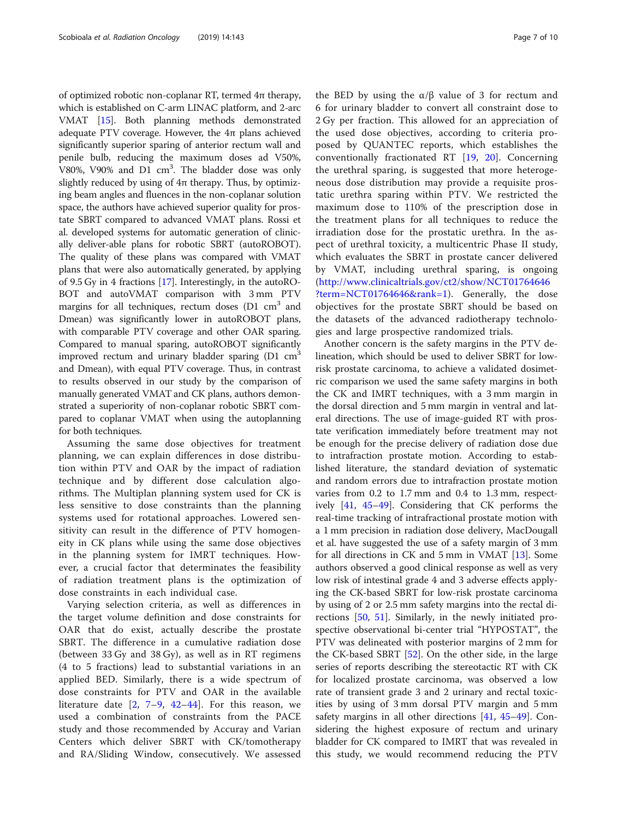of optimized robotic non-coplanar RT, termed 4π therapy, which is established on C-arm LINAC platform, and 2-arc VMAT [\[15\]](#page-8-0). Both planning methods demonstrated adequate PTV coverage. However, the  $4\pi$  plans achieved significantly superior sparing of anterior rectum wall and penile bulb, reducing the maximum doses ad V50%, V80%, V90% and D1 cm<sup>3</sup>. The bladder dose was only slightly reduced by using of  $4\pi$  therapy. Thus, by optimizing beam angles and fluences in the non-coplanar solution space, the authors have achieved superior quality for prostate SBRT compared to advanced VMAT plans. Rossi et al. developed systems for automatic generation of clinically deliver-able plans for robotic SBRT (autoROBOT). The quality of these plans was compared with VMAT plans that were also automatically generated, by applying of 9.5 Gy in 4 fractions [[17\]](#page-8-0). Interestingly, in the autoRO-BOT and autoVMAT comparison with 3 mm PTV margins for all techniques, rectum doses  $(D1 \text{ cm}^3)$  and Dmean) was significantly lower in autoROBOT plans, with comparable PTV coverage and other OAR sparing. Compared to manual sparing, autoROBOT significantly improved rectum and urinary bladder sparing  $(D1 \text{ cm}^3)$ and Dmean), with equal PTV coverage. Thus, in contrast to results observed in our study by the comparison of manually generated VMAT and CK plans, authors demonstrated a superiority of non-coplanar robotic SBRT compared to coplanar VMAT when using the autoplanning for both techniques.

Assuming the same dose objectives for treatment planning, we can explain differences in dose distribution within PTV and OAR by the impact of radiation technique and by different dose calculation algorithms. The Multiplan planning system used for CK is less sensitive to dose constraints than the planning systems used for rotational approaches. Lowered sensitivity can result in the difference of PTV homogeneity in CK plans while using the same dose objectives in the planning system for IMRT techniques. However, a crucial factor that determinates the feasibility of radiation treatment plans is the optimization of dose constraints in each individual case.

Varying selection criteria, as well as differences in the target volume definition and dose constraints for OAR that do exist, actually describe the prostate SBRT. The difference in a cumulative radiation dose (between 33 Gy and 38 Gy), as well as in RT regimens (4 to 5 fractions) lead to substantial variations in an applied BED. Similarly, there is a wide spectrum of dose constraints for PTV and OAR in the available literature date  $[2, 7-9, 42-44]$  $[2, 7-9, 42-44]$  $[2, 7-9, 42-44]$  $[2, 7-9, 42-44]$  $[2, 7-9, 42-44]$  $[2, 7-9, 42-44]$  $[2, 7-9, 42-44]$  $[2, 7-9, 42-44]$  $[2, 7-9, 42-44]$  $[2, 7-9, 42-44]$ . For this reason, we used a combination of constraints from the PACE study and those recommended by Accuray and Varian Centers which deliver SBRT with CK/tomotherapy and RA/Sliding Window, consecutively. We assessed the BED by using the  $α/β$  value of 3 for rectum and 6 for urinary bladder to convert all constraint dose to 2 Gy per fraction. This allowed for an appreciation of the used dose objectives, according to criteria proposed by QUANTEC reports, which establishes the conventionally fractionated RT [[19,](#page-8-0) [20](#page-8-0)]. Concerning the urethral sparing, is suggested that more heterogeneous dose distribution may provide a requisite prostatic urethra sparing within PTV. We restricted the maximum dose to 110% of the prescription dose in the treatment plans for all techniques to reduce the irradiation dose for the prostatic urethra. In the aspect of urethral toxicity, a multicentric Phase II study, which evaluates the SBRT in prostate cancer delivered by VMAT, including urethral sparing, is ongoing ([http://www.clinicaltrials.gov/ct2/show/NCT01764646](http://www.clinicaltrials.gov/ct2/show/NCT01764646?term=NCT01764646&rank=1) [?term=NCT01764646&rank=1](http://www.clinicaltrials.gov/ct2/show/NCT01764646?term=NCT01764646&rank=1)). Generally, the dose objectives for the prostate SBRT should be based on the datasets of the advanced radiotherapy technologies and large prospective randomized trials.

Another concern is the safety margins in the PTV delineation, which should be used to deliver SBRT for lowrisk prostate carcinoma, to achieve a validated dosimetric comparison we used the same safety margins in both the CK and IMRT techniques, with a 3 mm margin in the dorsal direction and 5 mm margin in ventral and lateral directions. The use of image-guided RT with prostate verification immediately before treatment may not be enough for the precise delivery of radiation dose due to intrafraction prostate motion. According to established literature, the standard deviation of systematic and random errors due to intrafraction prostate motion varies from 0.2 to 1.7 mm and 0.4 to 1.3 mm, respectively [\[41,](#page-9-0) [45](#page-9-0)–[49\]](#page-9-0). Considering that CK performs the real-time tracking of intrafractional prostate motion with a 1 mm precision in radiation dose delivery, MacDougall et al. have suggested the use of a safety margin of 3 mm for all directions in CK and 5 mm in VMAT [\[13](#page-8-0)]. Some authors observed a good clinical response as well as very low risk of intestinal grade 4 and 3 adverse effects applying the CK-based SBRT for low-risk prostate carcinoma by using of 2 or 2.5 mm safety margins into the rectal directions [\[50](#page-9-0), [51\]](#page-9-0). Similarly, in the newly initiated prospective observational bi-center trial "HYPOSTAT", the PTV was delineated with posterior margins of 2 mm for the CK-based SBRT [[52](#page-9-0)]. On the other side, in the large series of reports describing the stereotactic RT with CK for localized prostate carcinoma, was observed a low rate of transient grade 3 and 2 urinary and rectal toxicities by using of 3 mm dorsal PTV margin and 5 mm safety margins in all other directions [\[41,](#page-9-0) [45](#page-9-0)–[49\]](#page-9-0). Considering the highest exposure of rectum and urinary bladder for CK compared to IMRT that was revealed in this study, we would recommend reducing the PTV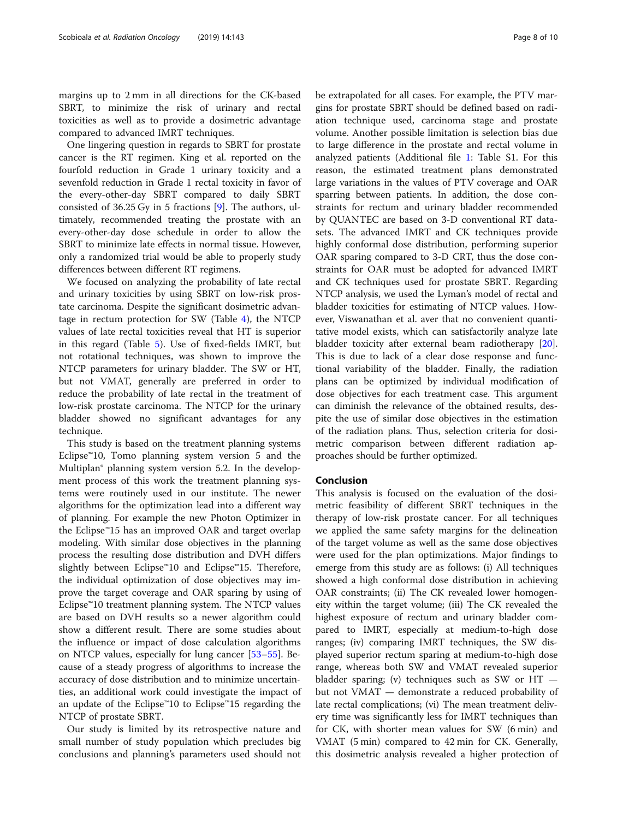margins up to 2 mm in all directions for the CK-based SBRT, to minimize the risk of urinary and rectal toxicities as well as to provide a dosimetric advantage compared to advanced IMRT techniques.

One lingering question in regards to SBRT for prostate cancer is the RT regimen. King et al. reported on the fourfold reduction in Grade 1 urinary toxicity and a sevenfold reduction in Grade 1 rectal toxicity in favor of the every-other-day SBRT compared to daily SBRT consisted of 36.25 Gy in 5 fractions [\[9](#page-8-0)]. The authors, ultimately, recommended treating the prostate with an every-other-day dose schedule in order to allow the SBRT to minimize late effects in normal tissue. However, only a randomized trial would be able to properly study differences between different RT regimens.

We focused on analyzing the probability of late rectal and urinary toxicities by using SBRT on low-risk prostate carcinoma. Despite the significant dosimetric advantage in rectum protection for SW (Table [4\)](#page-3-0), the NTCP values of late rectal toxicities reveal that HT is superior in this regard (Table [5](#page-5-0)). Use of fixed-fields IMRT, but not rotational techniques, was shown to improve the NTCP parameters for urinary bladder. The SW or HT, but not VMAT, generally are preferred in order to reduce the probability of late rectal in the treatment of low-risk prostate carcinoma. The NTCP for the urinary bladder showed no significant advantages for any technique.

This study is based on the treatment planning systems Eclipse<sup>™10</sup>, Tomo planning system version 5 and the Multiplan® planning system version 5.2. In the development process of this work the treatment planning systems were routinely used in our institute. The newer algorithms for the optimization lead into a different way of planning. For example the new Photon Optimizer in the Eclipse™15 has an improved OAR and target overlap modeling. With similar dose objectives in the planning process the resulting dose distribution and DVH differs slightly between Eclipse™10 and Eclipse™15. Therefore, the individual optimization of dose objectives may improve the target coverage and OAR sparing by using of Eclipse™10 treatment planning system. The NTCP values are based on DVH results so a newer algorithm could show a different result. There are some studies about the influence or impact of dose calculation algorithms on NTCP values, especially for lung cancer [[53](#page-9-0)–[55](#page-9-0)]. Because of a steady progress of algorithms to increase the accuracy of dose distribution and to minimize uncertainties, an additional work could investigate the impact of an update of the Eclipse™10 to Eclipse™15 regarding the NTCP of prostate SBRT.

Our study is limited by its retrospective nature and small number of study population which precludes big conclusions and planning's parameters used should not be extrapolated for all cases. For example, the PTV margins for prostate SBRT should be defined based on radiation technique used, carcinoma stage and prostate volume. Another possible limitation is selection bias due to large difference in the prostate and rectal volume in analyzed patients (Additional file [1:](#page-8-0) Table S1. For this reason, the estimated treatment plans demonstrated large variations in the values of PTV coverage and OAR sparring between patients. In addition, the dose constraints for rectum and urinary bladder recommended by QUANTEC are based on 3-D conventional RT datasets. The advanced IMRT and CK techniques provide highly conformal dose distribution, performing superior OAR sparing compared to 3-D CRT, thus the dose constraints for OAR must be adopted for advanced IMRT and CK techniques used for prostate SBRT. Regarding NTCP analysis, we used the Lyman's model of rectal and bladder toxicities for estimating of NTCP values. However, Viswanathan et al. aver that no convenient quantitative model exists, which can satisfactorily analyze late bladder toxicity after external beam radiotherapy [\[20](#page-8-0)]. This is due to lack of a clear dose response and functional variability of the bladder. Finally, the radiation plans can be optimized by individual modification of dose objectives for each treatment case. This argument can diminish the relevance of the obtained results, despite the use of similar dose objectives in the estimation of the radiation plans. Thus, selection criteria for dosimetric comparison between different radiation approaches should be further optimized.

#### Conclusion

This analysis is focused on the evaluation of the dosimetric feasibility of different SBRT techniques in the therapy of low-risk prostate cancer. For all techniques we applied the same safety margins for the delineation of the target volume as well as the same dose objectives were used for the plan optimizations. Major findings to emerge from this study are as follows: (i) All techniques showed a high conformal dose distribution in achieving OAR constraints; (ii) The CK revealed lower homogeneity within the target volume; (iii) The CK revealed the highest exposure of rectum and urinary bladder compared to IMRT, especially at medium-to-high dose ranges; (iv) comparing IMRT techniques, the SW displayed superior rectum sparing at medium-to-high dose range, whereas both SW and VMAT revealed superior bladder sparing; (v) techniques such as SW or  $HT$ but not VMAT — demonstrate a reduced probability of late rectal complications; (vi) The mean treatment delivery time was significantly less for IMRT techniques than for CK, with shorter mean values for SW (6 min) and VMAT (5 min) compared to 42 min for CK. Generally, this dosimetric analysis revealed a higher protection of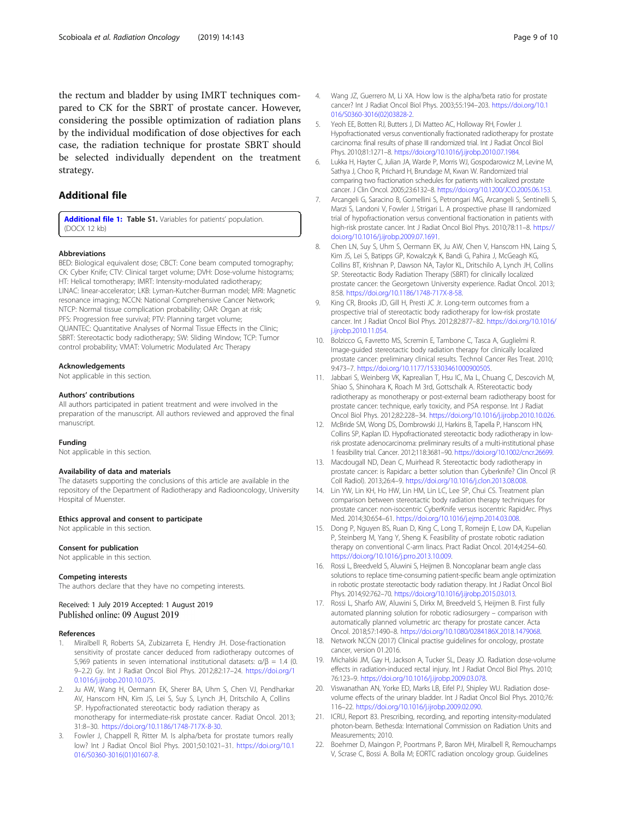<span id="page-8-0"></span>the rectum and bladder by using IMRT techniques compared to CK for the SBRT of prostate cancer. However, considering the possible optimization of radiation plans by the individual modification of dose objectives for each case, the radiation technique for prostate SBRT should be selected individually dependent on the treatment strategy.

#### Additional file

[Additional file 1:](https://doi.org/10.1186/s13014-019-1353-6) Table S1. Variables for patients' population. (DOCX 12 kb)

#### Abbreviations

BED: Biological equivalent dose; CBCT: Cone beam computed tomography; CK: Cyber Knife; CTV: Clinical target volume; DVH: Dose-volume histograms; HT: Helical tomotherapy; IMRT: Intensity-modulated radiotherapy; LINAC: linear-accelerator; LKB: Lyman-Kutcher-Burman model; MRI: Magnetic resonance imaging; NCCN: National Comprehensive Cancer Network; NTCP: Normal tissue complication probability; OAR: Organ at risk; PFS: Progression free survival; PTV: Planning target volume; QUANTEC: Quantitative Analyses of Normal Tissue Effects in the Clinic; SBRT: Stereotactic body radiotherapy; SW: Sliding Window; TCP: Tumor control probability; VMAT: Volumetric Modulated Arc Therapy

#### Acknowledgements

Not applicable in this section.

#### Authors' contributions

All authors participated in patient treatment and were involved in the preparation of the manuscript. All authors reviewed and approved the final manuscript.

#### Funding

Not applicable in this section.

#### Availability of data and materials

The datasets supporting the conclusions of this article are available in the repository of the Department of Radiotherapy and Radiooncology, University Hospital of Muenster.

#### Ethics approval and consent to participate

Not applicable in this section.

#### Consent for publication

Not applicable in this section.

#### Competing interests

The authors declare that they have no competing interests.

#### Received: 1 July 2019 Accepted: 1 August 2019 Published online: 09 August 2019

#### References

- 1. Miralbell R, Roberts SA, Zubizarreta E, Hendry JH. Dose-fractionation sensitivity of prostate cancer deduced from radiotherapy outcomes of 5,969 patients in seven international institutional datasets: α/β = 1.4 (0. 9–2.2) Gy. Int J Radiat Oncol Biol Phys. 2012;82:17–24. [https://doi.org/1](https://doi.org/10.1016/j.ijrobp.2010.10.075) [0.1016/j.ijrobp.2010.10.075](https://doi.org/10.1016/j.ijrobp.2010.10.075).
- 2. Ju AW, Wang H, Oermann EK, Sherer BA, Uhm S, Chen VJ, Pendharkar AV, Hanscom HN, Kim JS, Lei S, Suy S, Lynch JH, Dritschilo A, Collins SP. Hypofractionated stereotactic body radiation therapy as monotherapy for intermediate-risk prostate cancer. Radiat Oncol. 2013; 31:8–30. <https://doi.org/10.1186/1748-717X-8-30>.
- 3. Fowler J, Chappell R, Ritter M. Is alpha/beta for prostate tumors really low? Int J Radiat Oncol Biol Phys. 2001;50:1021–31. [https://doi.org/10.1](https://doi.org/10.1016/S0360-3016(01)01607-8) [016/S0360-3016\(01\)01607-8](https://doi.org/10.1016/S0360-3016(01)01607-8).
- 4. Wang JZ, Guerrero M, Li XA. How low is the alpha/beta ratio for prostate cancer? Int J Radiat Oncol Biol Phys. 2003;55:194–203. [https://doi.org/10.1](https://doi.org/10.1016/S0360-3016(02)03828-2) [016/S0360-3016\(02\)03828-2](https://doi.org/10.1016/S0360-3016(02)03828-2).
- 5. Yeoh EE, Botten RJ, Butters J, Di Matteo AC, Holloway RH, Fowler J. Hypofractionated versus conventionally fractionated radiotherapy for prostate carcinoma: final results of phase III randomized trial. Int J Radiat Oncol Biol Phys. 2010;81:1271–8. [https://doi.org/10.1016/j.ijrobp.2010.07.1984.](https://doi.org/10.1016/j.ijrobp.2010.07.1984)
- 6. Lukka H, Hayter C, Julian JA, Warde P, Morris WJ, Gospodarowicz M, Levine M, Sathya J, Choo R, Prichard H, Brundage M, Kwan W. Randomized trial comparing two fractionation schedules for patients with localized prostate cancer. J Clin Oncol. 2005;23:6132–8. <https://doi.org/10.1200/JCO.2005.06.153>.
- 7. Arcangeli G, Saracino B, Gomellini S, Petrongari MG, Arcangeli S, Sentinelli S, Marzi S, Landoni V, Fowler J, Strigari L. A prospective phase III randomized trial of hypofractionation versus conventional fractionation in patients with high-risk prostate cancer. Int J Radiat Oncol Biol Phys. 2010;78:11–8. [https://](https://doi.org/10.1016/j.ijrobp.2009.07.1691) [doi.org/10.1016/j.ijrobp.2009.07.1691](https://doi.org/10.1016/j.ijrobp.2009.07.1691).
- 8. Chen LN, Suy S, Uhm S, Oermann EK, Ju AW, Chen V, Hanscom HN, Laing S, Kim JS, Lei S, Batipps GP, Kowalczyk K, Bandi G, Pahira J, McGeagh KG, Collins BT, Krishnan P, Dawson NA, Taylor KL, Dritschilo A, Lynch JH, Collins SP. Stereotactic Body Radiation Therapy (SBRT) for clinically localized prostate cancer: the Georgetown University experience. Radiat Oncol. 2013; 8:58. [https://doi.org/10.1186/1748-717X-8-58.](https://doi.org/10.1186/1748-717X-8-58)
- 9. King CR, Brooks JD, Gill H, Presti JC Jr. Long-term outcomes from a prospective trial of stereotactic body radiotherapy for low-risk prostate cancer. Int J Radiat Oncol Biol Phys. 2012;82:877–82. [https://doi.org/10.1016/](https://doi.org/10.1016/j.ijrobp.2010.11.054) [j.ijrobp.2010.11.054](https://doi.org/10.1016/j.ijrobp.2010.11.054).
- 10. Bolzicco G, Favretto MS, Scremin E, Tambone C, Tasca A, Guglielmi R. Image-guided stereotactic body radiation therapy for clinically localized prostate cancer: preliminary clinical results. Technol Cancer Res Treat. 2010; 9:473–7. <https://doi.org/10.1177/153303461000900505>.
- 11. Jabbari S, Weinberg VK, Kaprealian T, Hsu IC, Ma L, Chuang C, Descovich M, Shiao S, Shinohara K, Roach M 3rd, Gottschalk A. RStereotactic body radiotherapy as monotherapy or post-external beam radiotherapy boost for prostate cancer: technique, early toxicity, and PSA response. Int J Radiat Oncol Biol Phys. 2012;82:228–34. <https://doi.org/10.1016/j.ijrobp.2010.10.026>.
- 12. McBride SM, Wong DS, Dombrowski JJ, Harkins B, Tapella P, Hanscom HN, Collins SP, Kaplan ID. Hypofractionated stereotactic body radiotherapy in lowrisk prostate adenocarcinoma: preliminary results of a multi-institutional phase 1 feasibility trial. Cancer. 2012;118:3681–90. <https://doi.org/10.1002/cncr.26699>.
- 13. Macdougall ND, Dean C, Muirhead R. Stereotactic body radiotherapy in prostate cancer: is Rapidarc a better solution than Cyberknife? Clin Oncol (R Coll Radiol). 2013;26:4–9. <https://doi.org/10.1016/j.clon.2013.08.008>.
- 14. Lin YW, Lin KH, Ho HW, Lin HM, Lin LC, Lee SP, Chui CS. Treatment plan comparison between stereotactic body radiation therapy techniques for prostate cancer: non-isocentric CyberKnife versus isocentric RapidArc. Phys Med. 2014;30:654–61. <https://doi.org/10.1016/j.ejmp.2014.03.008>.
- 15. Dong P, Nguyen BS, Ruan D, King C, Long T, Romeijn E, Low DA, Kupelian P, Steinberg M, Yang Y, Sheng K. Feasibility of prostate robotic radiation therapy on conventional C-arm linacs. Pract Radiat Oncol. 2014;4:254–60. [https://doi.org/10.1016/j.prro.2013.10.009.](https://doi.org/10.1016/j.prro.2013.10.009)
- 16. Rossi L, Breedveld S, Aluwini S, Heijmen B. Noncoplanar beam angle class solutions to replace time-consuming patient-specific beam angle optimization in robotic prostate stereotactic body radiation therapy. Int J Radiat Oncol Biol Phys. 2014;92:762–70. <https://doi.org/10.1016/j.ijrobp.2015.03.013>.
- 17. Rossi L, Sharfo AW, Aluwini S, Dirkx M, Breedveld S, Heijmen B. First fully automated planning solution for robotic radiosurgery – comparison with automatically planned volumetric arc therapy for prostate cancer. Acta Oncol. 2018;57:1490–8. [https://doi.org/10.1080/0284186X.2018.1479068.](https://doi.org/10.1080/0284186X.2018.1479068)
- 18. Network NCCN (2017) Clinical practise guidelines for oncology, prostate cancer, version 01.2016.
- 19. Michalski JM, Gay H, Jackson A, Tucker SL, Deasy JO. Radiation dose-volume effects in radiation-induced rectal injury. Int J Radiat Oncol Biol Phys. 2010; 76:123–9. [https://doi.org/10.1016/j.ijrobp.2009.03.078.](https://doi.org/10.1016/j.ijrobp.2009.03.078)
- 20. Viswanathan AN, Yorke ED, Marks LB, Eifel PJ, Shipley WU. Radiation dosevolume effects of the urinary bladder. Int J Radiat Oncol Biol Phys. 2010;76: 116–22. <https://doi.org/10.1016/j.ijrobp.2009.02.090>.
- 21. ICRU, Report 83. Prescribing, recording, and reporting intensity-modulated photon-beam. Bethesda: International Commission on Radiation Units and Measurements; 2010.
- 22. Boehmer D, Maingon P, Poortmans P, Baron MH, Miralbell R, Remouchamps V, Scrase C, Bossi A. Bolla M; EORTC radiation oncology group. Guidelines